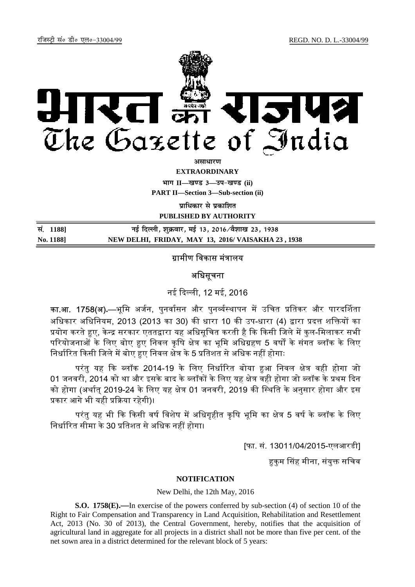

असाधा**र**ण

**EXTRAORDINARY**

**Hkkx II—[k.M 3—mi&[k.M (ii)**

**PART II—Section 3—Sub-section (ii)** 

**पाधिकार से पका**शित

**PUBLISHED BY AUTHORITY**

| सं. 11881 | नई दिल्ली, शुक्रवार, मई 13, 2016 ∕वैशाख 23, 1938   |
|-----------|----------------------------------------------------|
| No. 1188  | NEW DELHI, FRIDAY, MAY 13, 2016/ VAISAKHA 23, 1938 |

## ग्रामीण विकास मंत्रालय

## अधिसचना

नई ᳰद᭨ली, 12 मई, 2016

<mark>का.आ. 1758(अ).</mark>—भूमि अर्जन, पुनर्वासन और पुनर्व्यस्थापन में उचित प्रतिकर और पारदर्शिता अधिकार अधिनियम, 2013 (2013 का 30) की धारा 10 की उप-धारा (4) द्वारा प्रदत्त शक्तियों का प्रयोग करते हुए, केन्द्र सरकार एततद्वारा यह अधिसूचित करती है कि किसी जिले में कुल-मिलाकर सभी <u>परियोजनाओं के लिए बोए हुए निवल कृषि क्षेत्र का भूमि अधिग्रहण 5 वर्षों के संगत ब्लॉक के लिए</u> निर्धारित किसी जिले में बोए हुए निवल क्षेत्र के 5 प्रतिशत से अधिक नहीं होगाः

परंतु यह कि ब्लॉक 2014-19 के लिए निर्धारित बोया हुआ निवल क्षेत्र वही होगा जो 01 जनवरी. 2014 को था और इसके बाद के ब्लॉकों के लिए यह क्षेत्र वही होगा जो ब्लॉक के प्रथम दिन को होगा (अर्थात 2019-24 के लिए यह क्षेत्र 01 जनवरी, 2019 की स्थिति के अनुसार होगा और इस प्रकार आगे भी यही प्रक्रिया रहेगी)।

परंतु यह भी कि किसी वर्ष विशेष में अधिगृहीत कृषि भूमि का क्षेत्र 5 वर्ष के ब्लॉक के लिए निर्धारित सीमा के 30 प्रतिशत से अधिक नहीं होगा।

[फा. सं. 13011/04/2015-एलआरडी]

हकम सिंह मीना, संयक्त सचिव

## **NOTIFICATION**

New Delhi, the 12th May, 2016

**S.O. 1758(E).—**In exercise of the powers conferred by sub-section (4) of section 10 of the Right to Fair Compensation and Transparency in Land Acquisition, Rehabilitation and Resettlement Act, 2013 (No. 30 of 2013), the Central Government, hereby, notifies that the acquisition of agricultural land in aggregate for all projects in a district shall not be more than five per cent. of the net sown area in a district determined for the relevant block of 5 years: